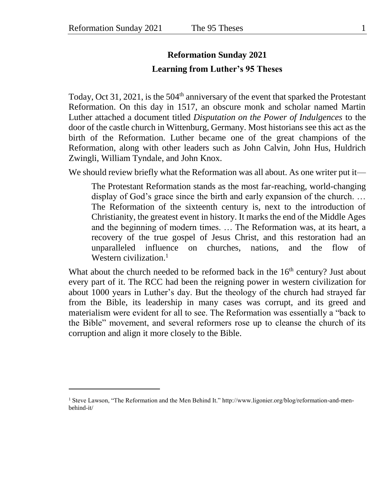l

## **Reformation Sunday 2021 Learning from Luther's 95 Theses**

Today, Oct 31, 2021, is the  $504<sup>th</sup>$  anniversary of the event that sparked the Protestant Reformation. On this day in 1517, an obscure monk and scholar named Martin Luther attached a document titled *Disputation on the Power of Indulgences* to the door of the castle church in Wittenburg, Germany. Most historians see this act as the birth of the Reformation. Luther became one of the great champions of the Reformation, along with other leaders such as John Calvin, John Hus, Huldrich Zwingli, William Tyndale, and John Knox.

We should review briefly what the Reformation was all about. As one writer put it—

The Protestant Reformation stands as the most far-reaching, world-changing display of God's grace since the birth and early expansion of the church. … The Reformation of the sixteenth century is, next to the introduction of Christianity, the greatest event in history. It marks the end of the Middle Ages and the beginning of modern times. … The Reformation was, at its heart, a recovery of the true gospel of Jesus Christ, and this restoration had an unparalleled influence on churches, nations, and the flow of Western civilization. $<sup>1</sup>$ </sup>

What about the church needed to be reformed back in the  $16<sup>th</sup>$  century? Just about every part of it. The RCC had been the reigning power in western civilization for about 1000 years in Luther's day. But the theology of the church had strayed far from the Bible, its leadership in many cases was corrupt, and its greed and materialism were evident for all to see. The Reformation was essentially a "back to the Bible" movement, and several reformers rose up to cleanse the church of its corruption and align it more closely to the Bible.

<sup>1</sup> Steve Lawson, "The Reformation and the Men Behind It." http://www.ligonier.org/blog/reformation-and-menbehind-it/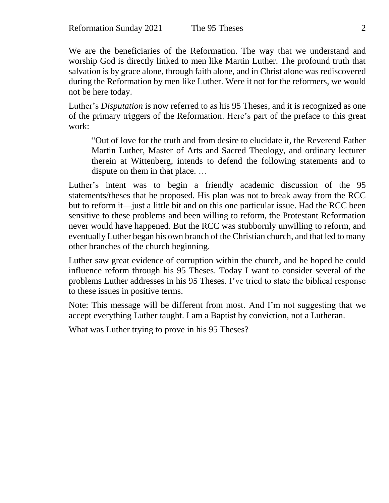We are the beneficiaries of the Reformation. The way that we understand and worship God is directly linked to men like Martin Luther. The profound truth that salvation is by grace alone, through faith alone, and in Christ alone was rediscovered during the Reformation by men like Luther. Were it not for the reformers, we would not be here today.

Luther's *Disputation* is now referred to as his 95 Theses, and it is recognized as one of the primary triggers of the Reformation. Here's part of the preface to this great work:

"Out of love for the truth and from desire to elucidate it, the Reverend Father Martin Luther, Master of Arts and Sacred Theology, and ordinary lecturer therein at Wittenberg, intends to defend the following statements and to dispute on them in that place. …

Luther's intent was to begin a friendly academic discussion of the 95 statements/theses that he proposed. His plan was not to break away from the RCC but to reform it—just a little bit and on this one particular issue. Had the RCC been sensitive to these problems and been willing to reform, the Protestant Reformation never would have happened. But the RCC was stubbornly unwilling to reform, and eventually Luther began his own branch of the Christian church, and that led to many other branches of the church beginning.

Luther saw great evidence of corruption within the church, and he hoped he could influence reform through his 95 Theses. Today I want to consider several of the problems Luther addresses in his 95 Theses. I've tried to state the biblical response to these issues in positive terms.

Note: This message will be different from most. And I'm not suggesting that we accept everything Luther taught. I am a Baptist by conviction, not a Lutheran.

What was Luther trying to prove in his 95 Theses?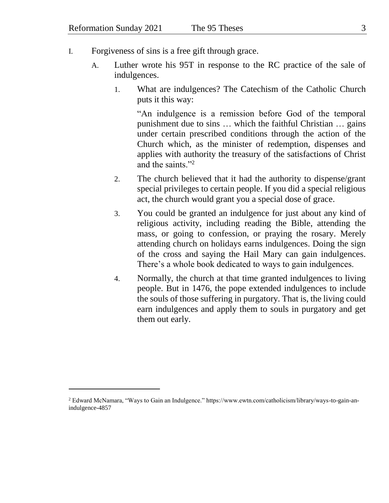- I. Forgiveness of sins is a free gift through grace.
	- A. Luther wrote his 95T in response to the RC practice of the sale of indulgences.
		- 1. What are indulgences? The Catechism of the Catholic Church puts it this way:

"An indulgence is a remission before God of the temporal punishment due to sins … which the faithful Christian … gains under certain prescribed conditions through the action of the Church which, as the minister of redemption, dispenses and applies with authority the treasury of the satisfactions of Christ and the saints."<sup>2</sup>

- 2. The church believed that it had the authority to dispense/grant special privileges to certain people. If you did a special religious act, the church would grant you a special dose of grace.
- 3. You could be granted an indulgence for just about any kind of religious activity, including reading the Bible, attending the mass, or going to confession, or praying the rosary. Merely attending church on holidays earns indulgences. Doing the sign of the cross and saying the Hail Mary can gain indulgences. There's a whole book dedicated to ways to gain indulgences.
- 4. Normally, the church at that time granted indulgences to living people. But in 1476, the pope extended indulgences to include the souls of those suffering in purgatory. That is, the living could earn indulgences and apply them to souls in purgatory and get them out early.

l

<sup>2</sup> Edward McNamara, "Ways to Gain an Indulgence." https://www.ewtn.com/catholicism/library/ways-to-gain-anindulgence-4857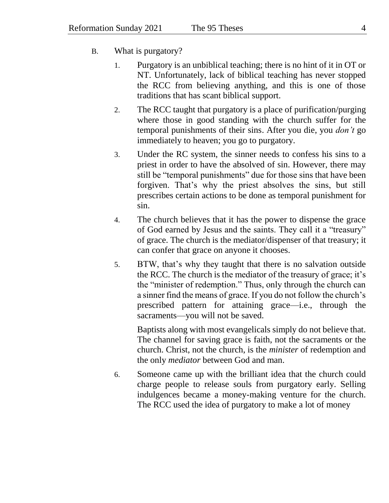- B. What is purgatory?
	- 1. Purgatory is an unbiblical teaching; there is no hint of it in OT or NT. Unfortunately, lack of biblical teaching has never stopped the RCC from believing anything, and this is one of those traditions that has scant biblical support.
	- 2. The RCC taught that purgatory is a place of purification/purging where those in good standing with the church suffer for the temporal punishments of their sins. After you die, you *don't* go immediately to heaven; you go to purgatory.
	- 3. Under the RC system, the sinner needs to confess his sins to a priest in order to have the absolved of sin. However, there may still be "temporal punishments" due for those sins that have been forgiven. That's why the priest absolves the sins, but still prescribes certain actions to be done as temporal punishment for sin.
	- 4. The church believes that it has the power to dispense the grace of God earned by Jesus and the saints. They call it a "treasury" of grace. The church is the mediator/dispenser of that treasury; it can confer that grace on anyone it chooses.
	- 5. BTW, that's why they taught that there is no salvation outside the RCC. The church is the mediator of the treasury of grace; it's the "minister of redemption." Thus, only through the church can a sinner find the means of grace. If you do not follow the church's prescribed pattern for attaining grace—i.e., through the sacraments—you will not be saved.

Baptists along with most evangelicals simply do not believe that. The channel for saving grace is faith, not the sacraments or the church. Christ, not the church, is the *minister* of redemption and the only *mediator* between God and man.

6. Someone came up with the brilliant idea that the church could charge people to release souls from purgatory early. Selling indulgences became a money-making venture for the church. The RCC used the idea of purgatory to make a lot of money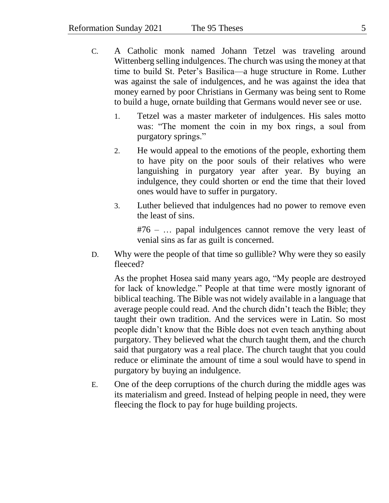- C. A Catholic monk named Johann Tetzel was traveling around Wittenberg selling indulgences. The church was using the money at that time to build St. Peter's Basilica—a huge structure in Rome. Luther was against the sale of indulgences, and he was against the idea that money earned by poor Christians in Germany was being sent to Rome to build a huge, ornate building that Germans would never see or use.
	- 1. Tetzel was a master marketer of indulgences. His sales motto was: "The moment the coin in my box rings, a soul from purgatory springs."
	- 2. He would appeal to the emotions of the people, exhorting them to have pity on the poor souls of their relatives who were languishing in purgatory year after year. By buying an indulgence, they could shorten or end the time that their loved ones would have to suffer in purgatory.
	- 3. Luther believed that indulgences had no power to remove even the least of sins.

#76 – … papal indulgences cannot remove the very least of venial sins as far as guilt is concerned.

D. Why were the people of that time so gullible? Why were they so easily fleeced?

As the prophet Hosea said many years ago, "My people are destroyed for lack of knowledge." People at that time were mostly ignorant of biblical teaching. The Bible was not widely available in a language that average people could read. And the church didn't teach the Bible; they taught their own tradition. And the services were in Latin. So most people didn't know that the Bible does not even teach anything about purgatory. They believed what the church taught them, and the church said that purgatory was a real place. The church taught that you could reduce or eliminate the amount of time a soul would have to spend in purgatory by buying an indulgence.

E. One of the deep corruptions of the church during the middle ages was its materialism and greed. Instead of helping people in need, they were fleecing the flock to pay for huge building projects.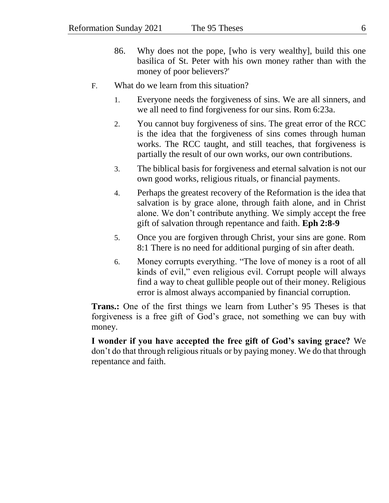- 86. Why does not the pope, [who is very wealthy], build this one basilica of St. Peter with his own money rather than with the money of poor believers?'
- F. What do we learn from this situation?
	- 1. Everyone needs the forgiveness of sins. We are all sinners, and we all need to find forgiveness for our sins. Rom 6:23a.
	- 2. You cannot buy forgiveness of sins. The great error of the RCC is the idea that the forgiveness of sins comes through human works. The RCC taught, and still teaches, that forgiveness is partially the result of our own works, our own contributions.
	- 3. The biblical basis for forgiveness and eternal salvation is not our own good works, religious rituals, or financial payments.
	- 4. Perhaps the greatest recovery of the Reformation is the idea that salvation is by grace alone, through faith alone, and in Christ alone. We don't contribute anything. We simply accept the free gift of salvation through repentance and faith. **Eph 2:8-9**
	- 5. Once you are forgiven through Christ, your sins are gone. Rom 8:1 There is no need for additional purging of sin after death.
	- 6. Money corrupts everything. "The love of money is a root of all kinds of evil," even religious evil. Corrupt people will always find a way to cheat gullible people out of their money. Religious error is almost always accompanied by financial corruption.

**Trans.:** One of the first things we learn from Luther's 95 Theses is that forgiveness is a free gift of God's grace, not something we can buy with money.

**I wonder if you have accepted the free gift of God's saving grace?** We don't do that through religious rituals or by paying money. We do that through repentance and faith.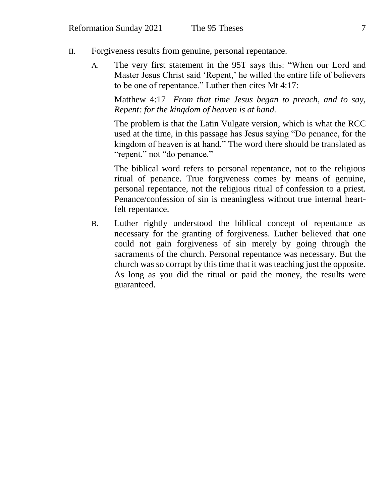- II. Forgiveness results from genuine, personal repentance.
	- A. The very first statement in the 95T says this: "When our Lord and Master Jesus Christ said 'Repent,' he willed the entire life of believers to be one of repentance." Luther then cites Mt 4:17:

Matthew 4:17 *From that time Jesus began to preach, and to say, Repent: for the kingdom of heaven is at hand.*

The problem is that the Latin Vulgate version, which is what the RCC used at the time, in this passage has Jesus saying "Do penance, for the kingdom of heaven is at hand." The word there should be translated as "repent," not "do penance."

The biblical word refers to personal repentance, not to the religious ritual of penance. True forgiveness comes by means of genuine, personal repentance, not the religious ritual of confession to a priest. Penance/confession of sin is meaningless without true internal heartfelt repentance.

B. Luther rightly understood the biblical concept of repentance as necessary for the granting of forgiveness. Luther believed that one could not gain forgiveness of sin merely by going through the sacraments of the church. Personal repentance was necessary. But the church was so corrupt by this time that it was teaching just the opposite. As long as you did the ritual or paid the money, the results were guaranteed.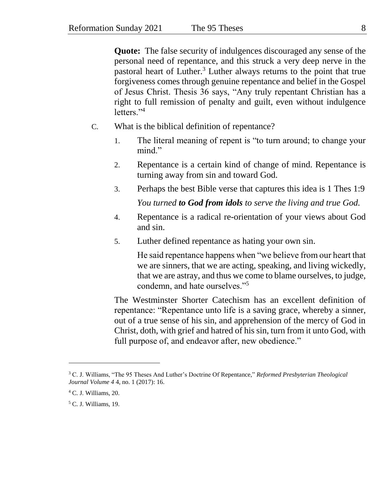**Quote:** The false security of indulgences discouraged any sense of the personal need of repentance, and this struck a very deep nerve in the pastoral heart of Luther.<sup>3</sup> Luther always returns to the point that true forgiveness comes through genuine repentance and belief in the Gospel of Jesus Christ. Thesis 36 says, "Any truly repentant Christian has a right to full remission of penalty and guilt, even without indulgence letters."<sup>4</sup>

- C. What is the biblical definition of repentance?
	- 1. The literal meaning of repent is "to turn around; to change your mind."
	- 2. Repentance is a certain kind of change of mind. Repentance is turning away from sin and toward God.
	- 3. Perhaps the best Bible verse that captures this idea is 1 Thes 1:9 *You turned to God from idols to serve the living and true God.*
	- 4. Repentance is a radical re-orientation of your views about God and sin.
	- 5. Luther defined repentance as hating your own sin.

He said repentance happens when "we believe from our heart that we are sinners, that we are acting, speaking, and living wickedly, that we are astray, and thus we come to blame ourselves, to judge, condemn, and hate ourselves."<sup>5</sup>

The Westminster Shorter Catechism has an excellent definition of repentance: "Repentance unto life is a saving grace, whereby a sinner, out of a true sense of his sin, and apprehension of the mercy of God in Christ, doth, with grief and hatred of his sin, turn from it unto God, with full purpose of, and endeavor after, new obedience."

 $\overline{a}$ 

<sup>3</sup> C. J. Williams, "The 95 Theses And Luther's Doctrine Of Repentance," *Reformed Presbyterian Theological Journal Volume 4* 4, no. 1 (2017): 16.

<sup>4</sup> C. J. Williams, 20.

<sup>5</sup> C. J. Williams, 19.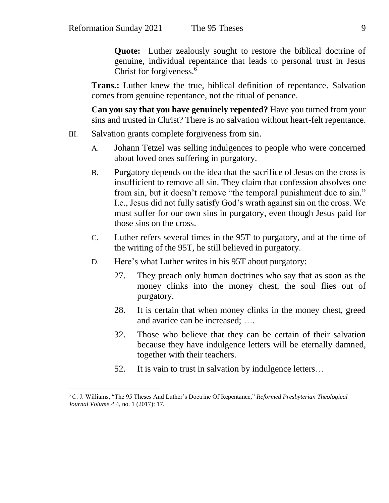**Quote:** Luther zealously sought to restore the biblical doctrine of genuine, individual repentance that leads to personal trust in Jesus Christ for forgiveness.<sup>6</sup>

**Trans.:** Luther knew the true, biblical definition of repentance. Salvation comes from genuine repentance, not the ritual of penance.

**Can you say that you have genuinely repented?** Have you turned from your sins and trusted in Christ? There is no salvation without heart-felt repentance.

- III. Salvation grants complete forgiveness from sin.
	- A. Johann Tetzel was selling indulgences to people who were concerned about loved ones suffering in purgatory.
	- B. Purgatory depends on the idea that the sacrifice of Jesus on the cross is insufficient to remove all sin. They claim that confession absolves one from sin, but it doesn't remove "the temporal punishment due to sin." I.e., Jesus did not fully satisfy God's wrath against sin on the cross. We must suffer for our own sins in purgatory, even though Jesus paid for those sins on the cross.
	- C. Luther refers several times in the 95T to purgatory, and at the time of the writing of the 95T, he still believed in purgatory.
	- D. Here's what Luther writes in his 95T about purgatory:
		- 27. They preach only human doctrines who say that as soon as the money clinks into the money chest, the soul flies out of purgatory.
		- 28. It is certain that when money clinks in the money chest, greed and avarice can be increased; ….
		- 32. Those who believe that they can be certain of their salvation because they have indulgence letters will be eternally damned, together with their teachers.
		- 52. It is vain to trust in salvation by indulgence letters…

l

<sup>6</sup> C. J. Williams, "The 95 Theses And Luther's Doctrine Of Repentance," *Reformed Presbyterian Theological Journal Volume 4* 4, no. 1 (2017): 17.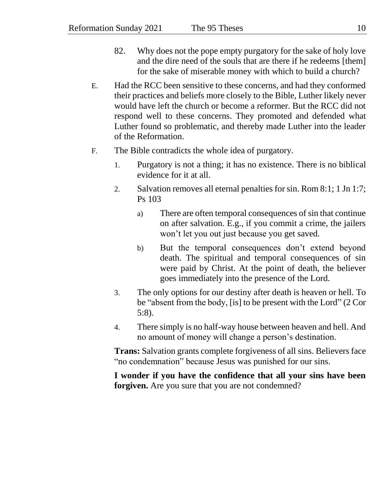- 82. Why does not the pope empty purgatory for the sake of holy love and the dire need of the souls that are there if he redeems [them] for the sake of miserable money with which to build a church?
- E. Had the RCC been sensitive to these concerns, and had they conformed their practices and beliefs more closely to the Bible, Luther likely never would have left the church or become a reformer. But the RCC did not respond well to these concerns. They promoted and defended what Luther found so problematic, and thereby made Luther into the leader of the Reformation.
- F. The Bible contradicts the whole idea of purgatory.
	- 1. Purgatory is not a thing; it has no existence. There is no biblical evidence for it at all.
	- 2. Salvation removes all eternal penalties for sin. Rom 8:1; 1 Jn 1:7; Ps 103
		- a) There are often temporal consequences of sin that continue on after salvation. E.g., if you commit a crime, the jailers won't let you out just because you get saved.
		- b) But the temporal consequences don't extend beyond death. The spiritual and temporal consequences of sin were paid by Christ. At the point of death, the believer goes immediately into the presence of the Lord.
	- 3. The only options for our destiny after death is heaven or hell. To be "absent from the body, [is] to be present with the Lord" (2 Cor 5:8).
	- 4. There simply is no half-way house between heaven and hell. And no amount of money will change a person's destination.

**Trans:** Salvation grants complete forgiveness of all sins. Believers face "no condemnation" because Jesus was punished for our sins.

**I wonder if you have the confidence that all your sins have been forgiven.** Are you sure that you are not condemned?